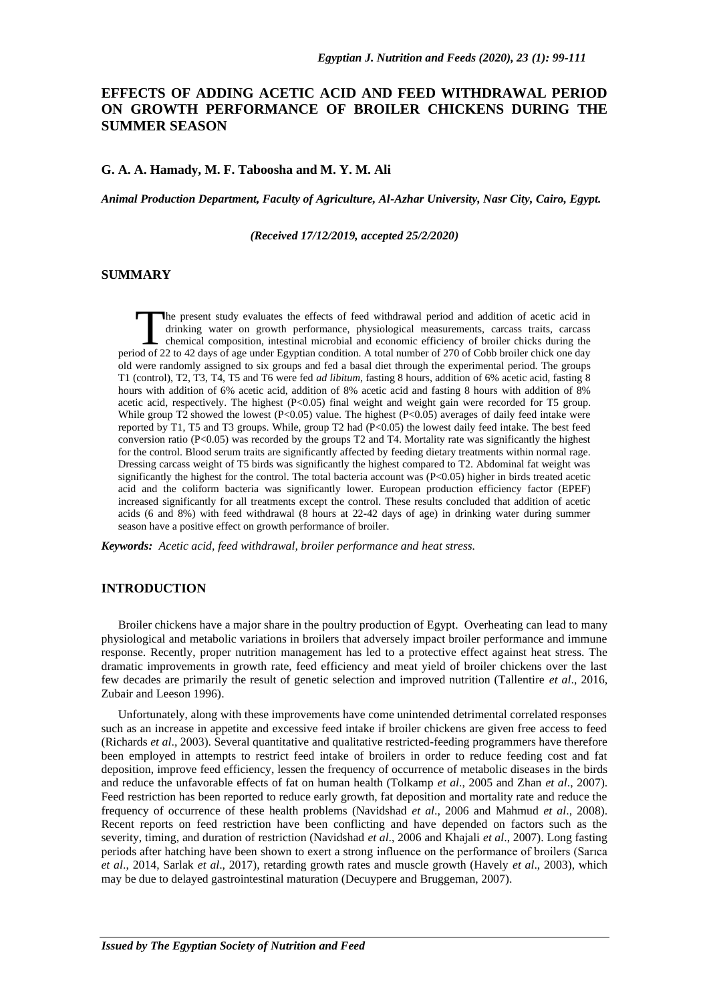# **EFFECTS OF ADDING ACETIC ACID AND FEED WITHDRAWAL PERIOD ON GROWTH PERFORMANCE OF BROILER CHICKENS DURING THE SUMMER SEASON**

## **G. A. A. Hamady, M. F. Taboosha and M. Y. M. Ali**

*Animal Production Department, Faculty of Agriculture, Al-Azhar University, Nasr City, Cairo, Egypt.*

*(Received 17/12/2019, accepted 25/2/2020)*

## **SUMMARY**

he present study evaluates the effects of feed withdrawal period and addition of acetic acid in drinking water on growth performance, physiological measurements, carcass traits, carcass chemical composition, intestinal microbial and economic efficiency of broiler chicks during the The present study evaluates the effects of feed withdrawal period and addition of acetic acid in drinking water on growth performance, physiological measurements, carcass traits, carcass chemical composition, intestinal mi old were randomly assigned to six groups and fed a basal diet through the experimental period. The groups T1 (control), T2, T3, T4, T5 and T6 were fed *ad libitum*, fasting 8 hours, addition of 6% acetic acid, fasting 8 hours with addition of 6% acetic acid, addition of 8% acetic acid and fasting 8 hours with addition of 8% acetic acid, respectively. The highest (P<0.05) final weight and weight gain were recorded for T5 group. While group T2 showed the lowest  $(P<0.05)$  value. The highest  $(P<0.05)$  averages of daily feed intake were reported by T1, T5 and T3 groups. While, group T2 had  $(P<0.05)$  the lowest daily feed intake. The best feed conversion ratio (P<0.05) was recorded by the groups T2 and T4. Mortality rate was significantly the highest for the control. Blood serum traits are significantly affected by feeding dietary treatments within normal rage. Dressing carcass weight of T5 birds was significantly the highest compared to T2. Abdominal fat weight was significantly the highest for the control. The total bacteria account was  $(P<0.05)$  higher in birds treated acetic acid and the coliform bacteria was significantly lower. European production efficiency factor (EPEF) increased significantly for all treatments except the control. These results concluded that addition of acetic acids (6 and 8%) with feed withdrawal (8 hours at 22-42 days of age) in drinking water during summer season have a positive effect on growth performance of broiler.

*Keywords: Acetic acid, feed withdrawal, broiler performance and heat stress.*

## **INTRODUCTION**

Broiler chickens have a major share in the poultry production of Egypt. Overheating can lead to many physiological and metabolic variations in broilers that adversely impact broiler performance and immune response. Recently, proper nutrition management has led to a protective effect against heat stress. The dramatic improvements in growth rate, feed efficiency and meat yield of broiler chickens over the last few decades are primarily the result of genetic selection and improved nutrition (Tallentire *et al*., 2016, Zubair and Leeson 1996).

Unfortunately, along with these improvements have come unintended detrimental correlated responses such as an increase in appetite and excessive feed intake if broiler chickens are given free access to feed (Richards *et al*., 2003). Several quantitative and qualitative restricted-feeding programmers have therefore been employed in attempts to restrict feed intake of broilers in order to reduce feeding cost and fat deposition, improve feed efficiency, lessen the frequency of occurrence of metabolic diseases in the birds and reduce the unfavorable effects of fat on human health (Tolkamp *et al*., 2005 and Zhan *et al*., 2007). Feed restriction has been reported to reduce early growth, fat deposition and mortality rate and reduce the frequency of occurrence of these health problems (Navidshad *et al*., 2006 and Mahmud *et al*., 2008). Recent reports on feed restriction have been conflicting and have depended on factors such as the severity, timing, and duration of restriction (Navidshad *et al*., 2006 and Khajali *et al*., 2007). Long fasting periods after hatching have been shown to exert a strong influence on the performance of broilers (Sarıca *et al*., 2014, Sarlak *et al*., 2017), retarding growth rates and muscle growth (Havely *et al*., 2003), which may be due to delayed gastrointestinal maturation (Decuypere and Bruggeman, 2007).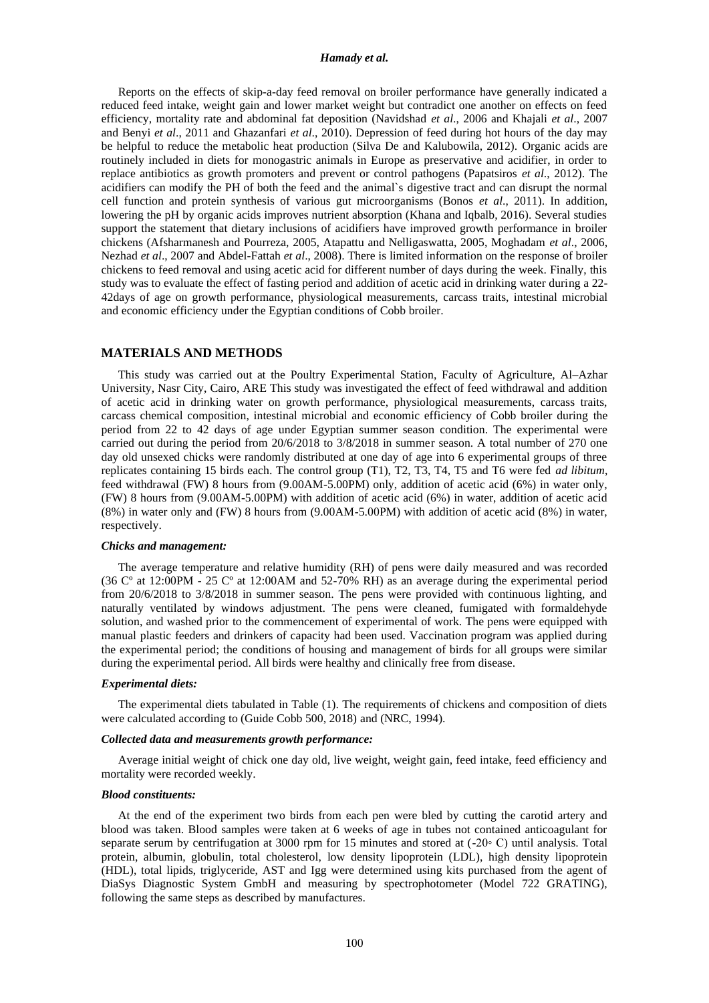### *Hamady et al.*

Reports on the effects of skip-a-day feed removal on broiler performance have generally indicated a reduced feed intake, weight gain and lower market weight but contradict one another on effects on feed efficiency, mortality rate and abdominal fat deposition (Navidshad *et al*., 2006 and Khajali *et al*., 2007 and Benyi *et al*., 2011 and Ghazanfari *et al*., 2010). Depression of feed during hot hours of the day may be helpful to reduce the metabolic heat production (Silva De and Kalubowila, 2012). Organic acids are routinely included in diets for monogastric animals in Europe as preservative and acidifier, in order to replace antibiotics as growth promoters and prevent or control pathogens (Papatsiros *et al*., 2012). The acidifiers can modify the PH of both the feed and the animal`s digestive tract and can disrupt the normal cell function and protein synthesis of various gut microorganisms (Bonos *et al*., 2011). In addition, lowering the pH by organic acids improves nutrient absorption (Khana and Iqbalb, 2016). Several studies support the statement that dietary inclusions of acidifiers have improved growth performance in broiler chickens (Afsharmanesh and Pourreza, 2005, Atapattu and Nelligaswatta, 2005, Moghadam *et al*., 2006, Nezhad *et al*., 2007 and Abdel-Fattah *et al*., 2008). There is limited information on the response of broiler chickens to feed removal and using acetic acid for different number of days during the week. Finally, this study was to evaluate the effect of fasting period and addition of acetic acid in drinking water during a 22- 42days of age on growth performance, physiological measurements, carcass traits, intestinal microbial and economic efficiency under the Egyptian conditions of Cobb broiler.

### **MATERIALS AND METHODS**

This study was carried out at the Poultry Experimental Station, Faculty of Agriculture, Al–Azhar University, Nasr City, Cairo, ARE This study was investigated the effect of feed withdrawal and addition of acetic acid in drinking water on growth performance, physiological measurements, carcass traits, carcass chemical composition, intestinal microbial and economic efficiency of Cobb broiler during the period from 22 to 42 days of age under Egyptian summer season condition. The experimental were carried out during the period from 20/6/2018 to 3/8/2018 in summer season. A total number of 270 one day old unsexed chicks were randomly distributed at one day of age into 6 experimental groups of three replicates containing 15 birds each. The control group (T1), T2, T3, T4, T5 and T6 were fed *ad libitum*, feed withdrawal (FW) 8 hours from (9.00AM-5.00PM) only, addition of acetic acid (6%) in water only, (FW) 8 hours from (9.00AM-5.00PM) with addition of acetic acid (6%) in water, addition of acetic acid (8%) in water only and (FW) 8 hours from (9.00AM-5.00PM) with addition of acetic acid (8%) in water, respectively.

#### *Chicks and management:*

The average temperature and relative humidity (RH) of pens were daily measured and was recorded (36 Cº at 12:00PM - 25 Cº at 12:00AM and 52-70% RH) as an average during the experimental period from 20/6/2018 to 3/8/2018 in summer season. The pens were provided with continuous lighting, and naturally ventilated by windows adjustment. The pens were cleaned, fumigated with formaldehyde solution, and washed prior to the commencement of experimental of work. The pens were equipped with manual plastic feeders and drinkers of capacity had been used. Vaccination program was applied during the experimental period; the conditions of housing and management of birds for all groups were similar during the experimental period. All birds were healthy and clinically free from disease.

## *Experimental diets:*

The experimental diets tabulated in Table (1). The requirements of chickens and composition of diets were calculated according to (Guide Cobb 500, 2018) and (NRC, 1994).

## *Collected data and measurements growth performance:*

Average initial weight of chick one day old, live weight, weight gain, feed intake, feed efficiency and mortality were recorded weekly.

#### *Blood constituents:*

At the end of the experiment two birds from each pen were bled by cutting the carotid artery and blood was taken. Blood samples were taken at 6 weeks of age in tubes not contained anticoagulant for separate serum by centrifugation at 3000 rpm for 15 minutes and stored at (-20◦ C) until analysis. Total protein, albumin, globulin, total cholesterol, low density lipoprotein (LDL), high density lipoprotein (HDL), total lipids, triglyceride, AST and Igg were determined using kits purchased from the agent of DiaSys Diagnostic System GmbH and measuring by spectrophotometer (Model 722 GRATING), following the same steps as described by manufactures.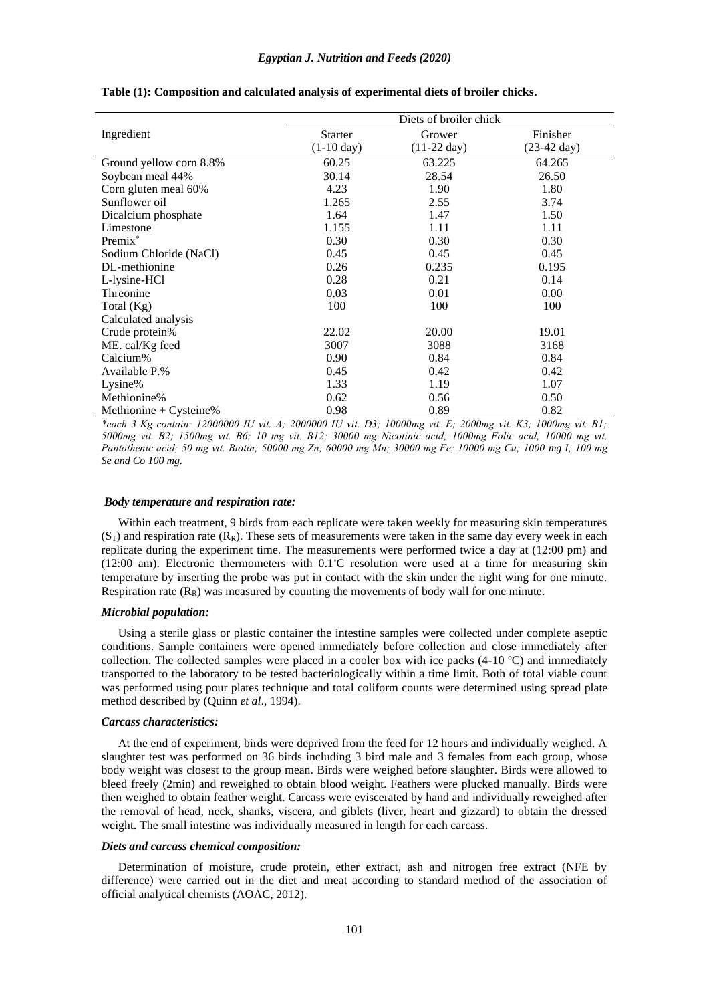|                           |                      | Diets of broiler chick |                       |
|---------------------------|----------------------|------------------------|-----------------------|
| Ingredient                | <b>Starter</b>       | Grower                 | Finisher              |
|                           | $(1-10 \text{ day})$ | $(11-22 \text{ day})$  | $(23-42 \text{ day})$ |
| Ground yellow corn 8.8%   | 60.25                | 63.225                 | 64.265                |
| Soybean meal 44%          | 30.14                | 28.54                  | 26.50                 |
| Corn gluten meal 60%      | 4.23                 | 1.90                   | 1.80                  |
| Sunflower oil             | 1.265                | 2.55                   | 3.74                  |
| Dicalcium phosphate       | 1.64                 | 1.47                   | 1.50                  |
| Limestone                 | 1.155                | 1.11                   | 1.11                  |
| Premix <sup>*</sup>       | 0.30                 | 0.30                   | 0.30                  |
| Sodium Chloride (NaCl)    | 0.45                 | 0.45                   | 0.45                  |
| DL-methionine             | 0.26                 | 0.235                  | 0.195                 |
| L-lysine-HCl              | 0.28                 | 0.21                   | 0.14                  |
| Threonine                 | 0.03                 | 0.01                   | 0.00                  |
| Total $(Kg)$              | 100                  | 100                    | 100                   |
| Calculated analysis       |                      |                        |                       |
| Crude protein%            | 22.02                | 20.00                  | 19.01                 |
| ME. cal/Kg feed           | 3007                 | 3088                   | 3168                  |
| Calcium%                  | 0.90                 | 0.84                   | 0.84                  |
| Available P.%             | 0.45                 | 0.42                   | 0.42                  |
| Lysine%                   | 1.33                 | 1.19                   | 1.07                  |
| Methionine%               | 0.62                 | 0.56                   | 0.50                  |
| Methionine + $C$ ysteine% | 0.98                 | 0.89                   | 0.82                  |

**Table (1): Composition and calculated analysis of experimental diets of broiler chicks.**

*\*each 3 Kg contain: 12000000 IU vit. A; 2000000 IU vit. D3; 10000mg vit. E; 2000mg vit. K3; 1000mg vit. B1; 5000mg vit. B2; 1500mg vit. B6; 10 mg vit. B12; 30000 mg Nicotinic acid; 1000mg Folic acid; 10000 mg vit. Pantothenic acid; 50 mg vit. Biotin; 50000 mg Zn; 60000 mg Mn; 30000 mg Fe; 10000 mg Cu; 1000 mg I; 100 mg Se and Co 100 mg.*

### *Body temperature and respiration rate:*

Within each treatment, 9 birds from each replicate were taken weekly for measuring skin temperatures  $(S_T)$  and respiration rate  $(R_R)$ . These sets of measurements were taken in the same day every week in each replicate during the experiment time. The measurements were performed twice a day at (12:00 pm) and (12:00 am). Electronic thermometers with 0.1◦C resolution were used at a time for measuring skin temperature by inserting the probe was put in contact with the skin under the right wing for one minute. Respiration rate  $(R_R)$  was measured by counting the movements of body wall for one minute.

#### *Microbial population:*

Using a sterile glass or plastic container the intestine samples were collected under complete aseptic conditions. Sample containers were opened immediately before collection and close immediately after collection. The collected samples were placed in a cooler box with ice packs (4-10 ºC) and immediately transported to the laboratory to be tested bacteriologically within a time limit. Both of total viable count was performed using pour plates technique and total coliform counts were determined using spread plate method described by (Quinn *et al*., 1994).

#### *Carcass characteristics:*

At the end of experiment, birds were deprived from the feed for 12 hours and individually weighed. A slaughter test was performed on 36 birds including 3 bird male and 3 females from each group, whose body weight was closest to the group mean. Birds were weighed before slaughter. Birds were allowed to bleed freely (2min) and reweighed to obtain blood weight. Feathers were plucked manually. Birds were then weighed to obtain feather weight. Carcass were eviscerated by hand and individually reweighed after the removal of head, neck, shanks, viscera, and giblets (liver, heart and gizzard) to obtain the dressed weight. The small intestine was individually measured in length for each carcass.

#### *Diets and carcass chemical composition:*

Determination of moisture, crude protein, ether extract, ash and nitrogen free extract (NFE by difference) were carried out in the diet and meat according to standard method of the association of official analytical chemists (AOAC, 2012).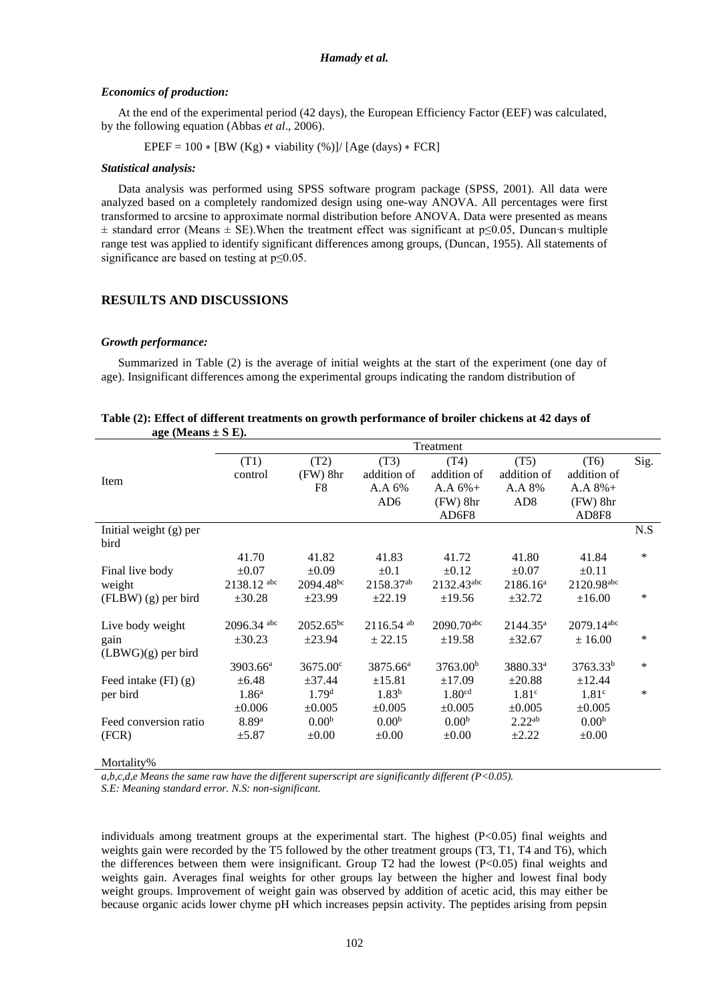### *Economics of production:*

At the end of the experimental period (42 days), the European Efficiency Factor (EEF) was calculated, by the following equation (Abbas *et al*., 2006).

EPEF =  $100 * [BW (Kg) * viability (%)]/[Age (days) * FCR]$ 

#### *Statistical analysis:*

Data analysis was performed using SPSS software program package (SPSS, 2001). All data were analyzed based on a completely randomized design using one-way ANOVA. All percentages were first transformed to arcsine to approximate normal distribution before ANOVA. Data were presented as means ± standard error (Means ± SE). When the treatment effect was significant at p≤0.05, Duncan s multiple range test was applied to identify significant differences among groups, (Duncan, 1955). All statements of significance are based on testing at p≤0.05.

### **RESUILTS AND DISCUSSIONS**

#### *Growth performance:*

Summarized in Table (2) is the average of initial weights at the start of the experiment (one day of age). Insignificant differences among the experimental groups indicating the random distribution of

|                          |                      |                   |                         | Treatment              |                      |                      |        |
|--------------------------|----------------------|-------------------|-------------------------|------------------------|----------------------|----------------------|--------|
|                          | (T1)                 | (T2)              | (T3)                    | (T4)                   | (T5)                 | (T6)                 | Sig.   |
|                          | control              | $(FW)$ 8hr        | addition of             | addition of            | addition of          | addition of          |        |
| Item                     |                      | F <sub>8</sub>    | A.A 6%                  | $A.A.6%+$              | A.A 8%               | $A.A.8%+$            |        |
|                          |                      |                   | AD <sub>6</sub>         | $(FW)$ 8hr             | AD <sub>8</sub>      | $(FW)$ 8hr           |        |
|                          |                      |                   |                         | AD6F8                  |                      | AD8F8                |        |
| Initial weight (g) per   |                      |                   |                         |                        |                      |                      | N.S    |
| bird                     |                      |                   |                         |                        |                      |                      |        |
|                          | 41.70                | 41.82             | 41.83                   | 41.72                  | 41.80                | 41.84                | *      |
| Final live body          | $\pm 0.07$           | $\pm 0.09$        | $\pm 0.1$               | $\pm 0.12$             | $\pm 0.07$           | $\pm 0.11$           |        |
| weight                   | 2138.12 abc          | $2094.48^{bc}$    | 2158.37 <sup>ab</sup>   | 2132.43 <sup>abc</sup> | 2186.16 <sup>a</sup> | 2120.98abc           |        |
| $(FLBW)$ (g) per bird    | ±30.28               | ±23.99            | ±22.19                  | ±19.56                 | ±32.72               | $\pm 16.00$          | $\ast$ |
|                          |                      |                   |                         |                        |                      |                      |        |
| Live body weight         | 2096.34 abc          | $2052.65^{bc}$    | $2116.54$ <sup>ab</sup> | 2090.70abc             | $2144.35^a$          | 2079.14abc           |        |
| gain                     | ±30.23               | ±23.94            | ± 22.15                 | ±19.58                 | ±32.67               | ± 16.00              | *      |
| $(LBWG)(g)$ per bird     |                      |                   |                         |                        |                      |                      |        |
|                          | 3903.66 <sup>a</sup> | 3675.00°          | 3875.66 <sup>a</sup>    | 3763.00 <sup>b</sup>   | 3880.33 <sup>a</sup> | 3763.33 <sup>b</sup> | *      |
| Feed intake $(FI)$ $(g)$ | $\pm 6.48$           | ±37.44            | ±15.81                  | ±17.09                 | ±20.88               | ±12.44               |        |
| per bird                 | 1.86 <sup>a</sup>    | 1.79 <sup>d</sup> | $1.83^{b}$              | 1.80 <sup>cd</sup>     | 1.81 <sup>c</sup>    | 1.81 <sup>c</sup>    | *      |
|                          | $\pm 0.006$          | $\pm 0.005$       | ±0.005                  | ±0.005                 | ±0.005               | $\pm 0.005$          |        |
| Feed conversion ratio    | 8.89a                | 0.00 <sup>b</sup> | 0.00 <sup>b</sup>       | 0.00 <sup>b</sup>      | 2.22 <sup>ab</sup>   | 0.00 <sup>b</sup>    |        |
| (FCR)                    | ±5.87                | $\pm 0.00$        | $\pm 0.00$              | $\pm 0.00$             | $\pm 2.22$           | $\pm 0.00$           |        |
|                          |                      |                   |                         |                        |                      |                      |        |
|                          |                      |                   |                         |                        |                      |                      |        |

| Table (2): Effect of different treatments on growth performance of broiler chickens at 42 days of |  |  |  |
|---------------------------------------------------------------------------------------------------|--|--|--|
| age (Means $\pm$ S E).                                                                            |  |  |  |

Mortality%

*a,b,c,d,e Means the same raw have the different superscript are significantly different (P<0.05).*

*S.E: Meaning standard error. N.S: non-significant.*

individuals among treatment groups at the experimental start. The highest (P<0.05) final weights and weights gain were recorded by the T5 followed by the other treatment groups (T3, T1, T4 and T6), which the differences between them were insignificant. Group T2 had the lowest (P<0.05) final weights and weights gain. Averages final weights for other groups lay between the higher and lowest final body weight groups. Improvement of weight gain was observed by addition of acetic acid, this may either be because organic acids lower chyme pH which increases pepsin activity. The peptides arising from pepsin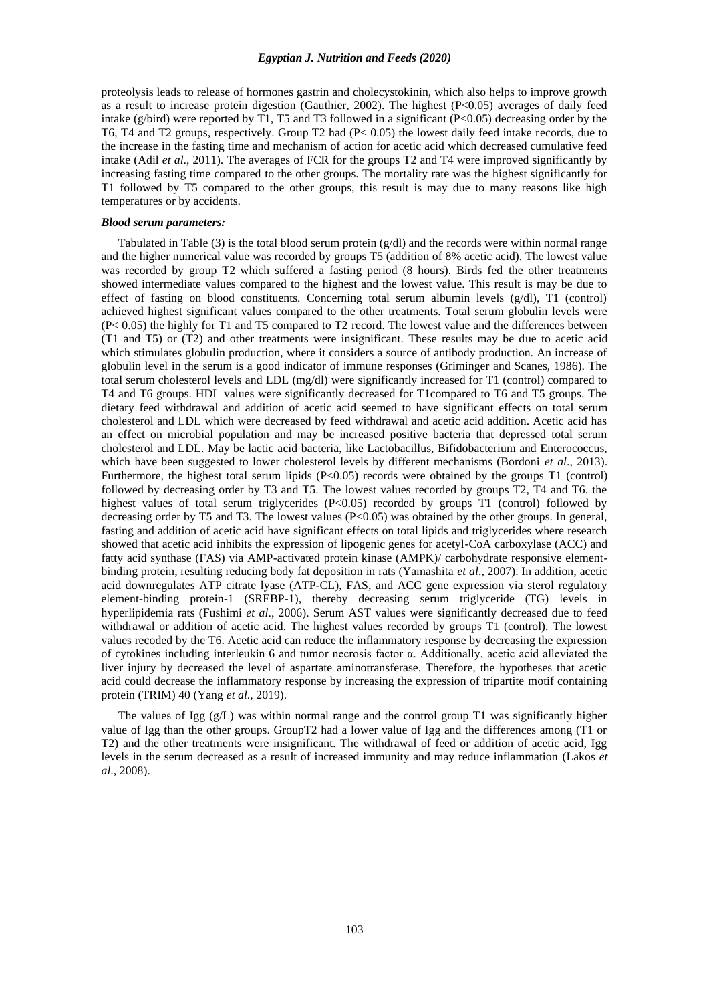proteolysis leads to release of hormones gastrin and cholecystokinin, which also helps to improve growth as a result to increase protein digestion (Gauthier, 2002). The highest (P<0.05) averages of daily feed intake (g/bird) were reported by T1, T5 and T3 followed in a significant (P<0.05) decreasing order by the T6, T4 and T2 groups, respectively. Group T2 had (P< 0.05) the lowest daily feed intake records, due to the increase in the fasting time and mechanism of action for acetic acid which decreased cumulative feed intake (Adil *et al*., 2011). The averages of FCR for the groups T2 and T4 were improved significantly by increasing fasting time compared to the other groups. The mortality rate was the highest significantly for T1 followed by T5 compared to the other groups, this result is may due to many reasons like high temperatures or by accidents.

#### *Blood serum parameters:*

Tabulated in Table (3) is the total blood serum protein (g/dl) and the records were within normal range and the higher numerical value was recorded by groups T5 (addition of 8% acetic acid). The lowest value was recorded by group T2 which suffered a fasting period (8 hours). Birds fed the other treatments showed intermediate values compared to the highest and the lowest value. This result is may be due to effect of fasting on blood constituents. Concerning total serum albumin levels  $(g/dl)$ , T1 (control) achieved highest significant values compared to the other treatments. Total serum globulin levels were (P< 0.05) the highly for T1 and T5 compared to T2 record. The lowest value and the differences between (T1 and T5) or (T2) and other treatments were insignificant. These results may be due to acetic acid which stimulates globulin production, where it considers a source of antibody production. An increase of globulin level in the serum is a good indicator of immune responses (Griminger and Scanes, 1986). The total serum cholesterol levels and LDL (mg/dl) were significantly increased for T1 (control) compared to T4 and T6 groups. HDL values were significantly decreased for T1compared to T6 and T5 groups. The dietary feed withdrawal and addition of acetic acid seemed to have significant effects on total serum cholesterol and LDL which were decreased by feed withdrawal and acetic acid addition. Acetic acid has an effect on microbial population and may be increased positive bacteria that depressed total serum cholesterol and LDL. May be lactic acid bacteria, like Lactobacillus, Bifidobacterium and Enterococcus, which have been suggested to lower cholesterol levels by different mechanisms (Bordoni *et al*., 2013). Furthermore, the highest total serum lipids (P<0.05) records were obtained by the groups T1 (control) followed by decreasing order by T3 and T5. The lowest values recorded by groups T2, T4 and T6. the highest values of total serum triglycerides (P<0.05) recorded by groups T1 (control) followed by decreasing order by T5 and T3. The lowest values  $(P<0.05)$  was obtained by the other groups. In general, fasting and addition of acetic acid have significant effects on total lipids and triglycerides where research showed that acetic acid inhibits the expression of lipogenic genes for acetyl-CoA carboxylase (ACC) and fatty acid synthase (FAS) via AMP-activated protein kinase (AMPK)/ carbohydrate responsive elementbinding protein, resulting reducing body fat deposition in rats (Yamashita *et al*., 2007). In addition, acetic acid downregulates ATP citrate lyase (ATP-CL), FAS, and ACC gene expression via sterol regulatory element-binding protein-1 (SREBP-1), thereby decreasing serum triglyceride (TG) levels in hyperlipidemia rats (Fushimi *et al*., 2006). Serum AST values were significantly decreased due to feed withdrawal or addition of acetic acid. The highest values recorded by groups T1 (control). The lowest values recoded by the T6. Acetic acid can reduce the inflammatory response by decreasing the expression of cytokines including interleukin 6 and tumor necrosis factor α. Additionally, acetic acid alleviated the liver injury by decreased the level of aspartate aminotransferase. Therefore, the hypotheses that acetic acid could decrease the inflammatory response by increasing the expression of tripartite motif containing protein (TRIM) 40 (Yang *et al*., 2019).

The values of Igg  $(g/L)$  was within normal range and the control group T1 was significantly higher value of Igg than the other groups. GroupT2 had a lower value of Igg and the differences among (T1 or T2) and the other treatments were insignificant. The withdrawal of feed or addition of acetic acid, Igg levels in the serum decreased as a result of increased immunity and may reduce inflammation (Lakos *et al*., 2008).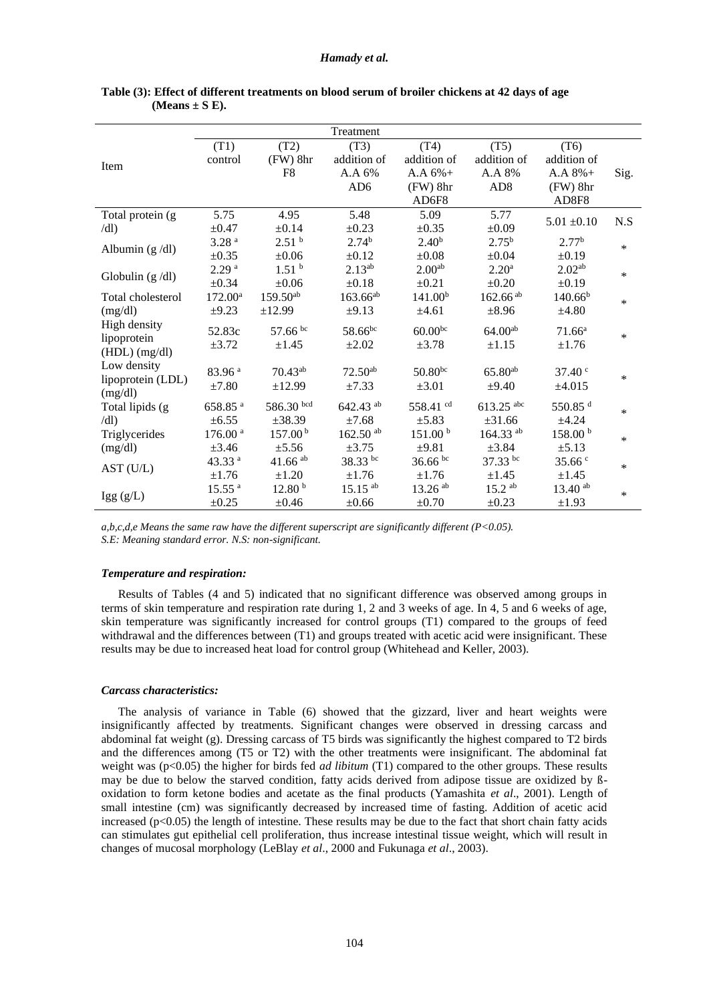|                   |                     |                       | Treatment             |                       |                         |                     |        |
|-------------------|---------------------|-----------------------|-----------------------|-----------------------|-------------------------|---------------------|--------|
|                   | (T1)                | (T2)                  | (T3)                  | (T4)                  | (T5)                    | (T6)                |        |
|                   | control             | $(FW)$ 8hr            | addition of           | addition of           | addition of             | addition of         |        |
| Item              |                     | F <sub>8</sub>        | A.A 6%                | $A.A.6%+$             | A.A 8%                  | $A.A.8%+$           | Sig.   |
|                   |                     |                       | AD <sub>6</sub>       | (FW) 8hr              | AD <sub>8</sub>         | $(FW)$ 8hr          |        |
|                   |                     |                       |                       | AD6F8                 |                         | AD8F8               |        |
| Total protein (g) | 5.75                | 4.95                  | 5.48                  | 5.09                  | 5.77                    | $5.01 \pm 0.10$     | N.S    |
| dl)               | $\pm 0.47$          | $\pm 0.14$            | $\pm 0.23$            | $\pm 0.35$            | $\pm 0.09$              |                     |        |
|                   | 3.28 <sup>a</sup>   | 2.51 <sup>b</sup>     | 2.74 <sup>b</sup>     | 2.40 <sup>b</sup>     | $2.75^{b}$              | 2.77 <sup>b</sup>   | *      |
| Albumin $(g/dl)$  | $\pm 0.35$          | $\pm 0.06$            | $\pm 0.12$            | $\pm 0.08$            | $\pm 0.04$              | $\pm 0.19$          |        |
|                   | 2.29 <sup>a</sup>   | 1.51 <sup>b</sup>     | $2.13^{ab}$           | 2.00 <sup>ab</sup>    | 2.20 <sup>a</sup>       | 2.02 <sup>ab</sup>  | *      |
| Globulin $(g/dl)$ | $\pm 0.34$          | $\pm 0.06$            | $\pm 0.18$            | $\pm 0.21$            | $\pm 0.20$              | $\pm 0.19$          |        |
| Total cholesterol | $172.00^{\rm a}$    | $159.50^{ab}$         | $163.66^{ab}$         | 141.00 <sup>b</sup>   | $162.66$ <sup>ab</sup>  | $140.66^{b}$        | *      |
| (mg/dl)           | $\pm 9.23$          | ±12.99                | ±9.13                 | ±4.61                 | $\pm 8.96$              | ±4.80               |        |
| High density      | 52.83c              | 57.66 bc              | 58.66 <sup>bc</sup>   | $60.00^{bc}$          | $64.00^{ab}$            | 71.66 <sup>a</sup>  |        |
| lipoprotein       | $\pm 3.72$          | $\pm 1.45$            | $\pm 2.02$            | ±3.78                 | $\pm 1.15$              | $\pm 1.76$          | $\ast$ |
| $(HDL)$ (mg/dl)   |                     |                       |                       |                       |                         |                     |        |
| Low density       | 83.96 <sup>a</sup>  | 70.43ab               | $72.50^{ab}$          | $50.80^{bc}$          | $65.80^{ab}$            | 37.40 <sup>c</sup>  |        |
| lipoprotein (LDL) | $\pm 7.80$          | ±12.99                | ±7.33                 | $\pm 3.01$            | $\pm 9.40$              | ±4.015              | ∗      |
| (mg/dl)           |                     |                       |                       |                       |                         |                     |        |
| Total lipids (g)  | 658.85 <sup>a</sup> | 586.30 bcd            | 642.43 ab             | 558.41 cd             | $613.25$ <sup>abc</sup> | 550.85 $d$          | $\ast$ |
| dl)               | $\pm 6.55$          | ±38.39                | ±7.68                 | $\pm 5.83$            | ±31.66                  | ±4.24               |        |
| Triglycerides     | $176.00$ $^{\rm a}$ | 157.00 <sup>b</sup>   | $162.50$ ab           | 151.00 <sup>b</sup>   | 164.33 ab               | 158.00 <sup>b</sup> | *      |
| (mg/dl)           | $\pm 3.46$          | $\pm 5.56$            | ±3.75                 | ±9.81                 | $\pm 3.84$              | $\pm 5.13$          |        |
| AST (U/L)         | 43.33 <sup>a</sup>  | $41.66$ <sup>ab</sup> | 38.33 bc              | $36.66$ bc            | 37.33 bc                | 35.66c              | *      |
|                   | ±1.76               | $\pm 1.20$            | $\pm 1.76$            | ±1.76                 | $\pm 1.45$              | $\pm 1.45$          |        |
|                   | 15.55 <sup>a</sup>  | 12.80 <sup>b</sup>    | $15.15$ <sup>ab</sup> | $13.26$ <sup>ab</sup> | $15.2$ <sup>ab</sup>    | $13.40^{ab}$        | *      |
| Igg(g/L)          | $\pm 0.25$          | $\pm 0.46$            | $\pm 0.66$            | $\pm 0.70$            | $\pm 0.23$              | $\pm 1.93$          |        |

| Table (3): Effect of different treatments on blood serum of broiler chickens at 42 days of age |  |  |
|------------------------------------------------------------------------------------------------|--|--|
| (Means $\pm$ S E).                                                                             |  |  |

*a,b,c,d,e Means the same raw have the different superscript are significantly different (P<0.05). S.E: Meaning standard error. N.S: non-significant.*

#### *Temperature and respiration:*

Results of Tables (4 and 5) indicated that no significant difference was observed among groups in terms of skin temperature and respiration rate during 1, 2 and 3 weeks of age. In 4, 5 and 6 weeks of age, skin temperature was significantly increased for control groups (T1) compared to the groups of feed withdrawal and the differences between (T1) and groups treated with acetic acid were insignificant. These results may be due to increased heat load for control group (Whitehead and Keller, 2003).

#### *Carcass characteristics:*

The analysis of variance in Table (6) showed that the gizzard, liver and heart weights were insignificantly affected by treatments. Significant changes were observed in dressing carcass and abdominal fat weight (g). Dressing carcass of T5 birds was significantly the highest compared to T2 birds and the differences among (T5 or T2) with the other treatments were insignificant. The abdominal fat weight was (p<0.05) the higher for birds fed *ad libitum* (T1) compared to the other groups. These results may be due to below the starved condition, fatty acids derived from adipose tissue are oxidized by ßoxidation to form ketone bodies and acetate as the final products (Yamashita *et al*., 2001). Length of small intestine (cm) was significantly decreased by increased time of fasting. Addition of acetic acid increased  $(p<0.05)$  the length of intestine. These results may be due to the fact that short chain fatty acids can stimulates gut epithelial cell proliferation, thus increase intestinal tissue weight, which will result in changes of mucosal morphology (LeBlay *et al*., 2000 and Fukunaga *et al*., 2003).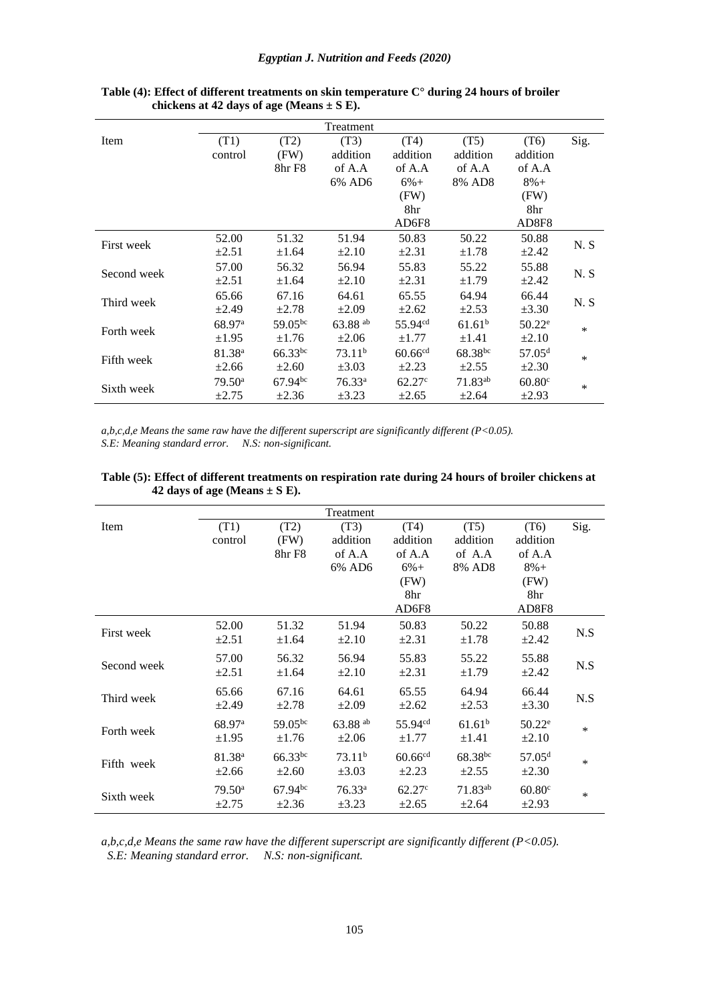## *Egyptian J. Nutrition and Feeds (2020)*

|             | Treatment          |              |                    |                     |                     |                    |      |  |  |
|-------------|--------------------|--------------|--------------------|---------------------|---------------------|--------------------|------|--|--|
| Item        | (T1)               | (T2)         | (T3)               | (T4)                | (T5)                | (T6)               | Sig. |  |  |
|             | control            | (FW)         | addition           | addition            | addition            | addition           |      |  |  |
|             |                    | 8hr F8       | of A.A             | of A.A              | of A.A              | of A.A             |      |  |  |
|             |                    |              | 6% AD6             | $6%+$               | 8% AD8              | $8\% +$            |      |  |  |
|             |                    |              |                    | (FW)                |                     | (FW)               |      |  |  |
|             |                    |              |                    | 8hr                 |                     | 8hr                |      |  |  |
|             |                    |              |                    | AD6F8               |                     | AD8F8              |      |  |  |
| First week  | 52.00              | 51.32        | 51.94              | 50.83               | 50.22               | 50.88              | N.S  |  |  |
|             | $\pm 2.51$         | $\pm 1.64$   | $\pm 2.10$         | $\pm 2.31$          | $\pm 1.78$          | $\pm 2.42$         |      |  |  |
| Second week | 57.00              | 56.32        | 56.94              | 55.83               | 55.22               | 55.88              | N.S  |  |  |
|             | $\pm 2.51$         | $\pm 1.64$   | $\pm 2.10$         | $\pm 2.31$          | $\pm 1.79$          | $\pm 2.42$         |      |  |  |
|             | 65.66              | 67.16        | 64.61              | 65.55               | 64.94               | 66.44              |      |  |  |
| Third week  | $\pm 2.49$         | $\pm 2.78$   | $\pm 2.09$         | $\pm 2.62$          | $\pm 2.53$          | $\pm 3.30$         | N.S  |  |  |
|             | 68.97 <sup>a</sup> | $59.05^{bc}$ | 63.88 ab           | $55.94^{cd}$        | 61.61 <sup>b</sup>  | $50.22^e$          | ∗    |  |  |
| Forth week  | $\pm 1.95$         | $\pm 1.76$   | $\pm 2.06$         | $\pm 1.77$          | $\pm 1.41$          | $\pm 2.10$         |      |  |  |
|             | 81.38 <sup>a</sup> | $66.33^{bc}$ | 73.11 <sup>b</sup> | 60.66 <sup>cd</sup> | $68.38^{bc}$        | 57.05 <sup>d</sup> | ∗    |  |  |
| Fifth week  | $\pm 2.66$         | $\pm 2.60$   | $\pm 3.03$         | $\pm 2.23$          | $\pm 2.55$          | $\pm 2.30$         |      |  |  |
|             | $79.50^{\circ}$    | $67.94^{bc}$ | 76.33 <sup>a</sup> | 62.27 <sup>c</sup>  | 71.83 <sup>ab</sup> | $60.80^{\circ}$    | ∗    |  |  |
| Sixth week  | $\pm 2.75$         | $\pm 2.36$   | $\pm 3.23$         | $\pm 2.65$          | $\pm 2.64$          | $\pm 2.93$         |      |  |  |

## **Table (4): Effect of different treatments on skin temperature C° during 24 hours of broiler chickens at 42 days of age (Means ± S E).**

*a,b,c,d,e Means the same raw have the different superscript are significantly different (P<0.05). S.E: Meaning standard error. N.S: non-significant.*

|             |                    |              | Treatment          |                      |                     |                    |        |
|-------------|--------------------|--------------|--------------------|----------------------|---------------------|--------------------|--------|
| Item        | (T1)               | (T2)         | (T3)               | (T4)                 | (T5)                | (T6)               | Sig.   |
|             | control            | (FW)         | addition           | addition             | addition            | addition           |        |
|             |                    | 8hr F8       | of A.A             | of A.A               | of A.A              | of A.A             |        |
|             |                    |              | 6% AD6             | $6\% +$              | 8% AD8              | $8\% +$            |        |
|             |                    |              |                    | (FW)                 |                     | (FW)               |        |
|             |                    |              |                    | 8hr                  |                     | 8hr                |        |
|             |                    |              |                    | AD6F8                |                     | AD8F8              |        |
|             | 52.00              | 51.32        | 51.94              | 50.83                | 50.22               | 50.88              |        |
| First week  | $\pm 2.51$         | $\pm 1.64$   | $\pm 2.10$         | $\pm 2.31$           | $\pm 1.78$          | $\pm 2.42$         | N.S    |
|             |                    |              |                    |                      |                     |                    |        |
| Second week | 57.00              | 56.32        | 56.94              | 55.83                | 55.22               | 55.88              | N.S    |
|             | $\pm 2.51$         | $\pm 1.64$   | $\pm 2.10$         | $\pm 2.31$           | $\pm 1.79$          | $\pm 2.42$         |        |
|             | 65.66              | 67.16        | 64.61              | 65.55                | 64.94               | 66.44              |        |
| Third week  | $\pm 2.49$         | $\pm 2.78$   | $\pm 2.09$         | $\pm 2.62$           | $\pm 2.53$          | $\pm 3.30$         | N.S    |
|             |                    |              |                    |                      |                     |                    |        |
| Forth week  | 68.97 <sup>a</sup> | 59.05bc      | 63.88 ab           | 55.94 <sup>cd</sup>  | 61.61 <sup>b</sup>  | $50.22^e$          | $\ast$ |
|             | $\pm 1.95$         | $\pm 1.76$   | $\pm 2.06$         | $\pm 1.77$           | $\pm 1.41$          | $\pm 2.10$         |        |
|             | 81.38 <sup>a</sup> | $66.33^{bc}$ | $73.11^b$          | 60.66 <sup>cd</sup>  | 68.38bc             | 57.05 <sup>d</sup> | *      |
| Fifth week  | $\pm 2.66$         | $\pm 2.60$   | $\pm 3.03$         | $\pm 2.23$           | $\pm 2.55$          | $\pm 2.30$         |        |
|             |                    |              |                    |                      |                     |                    |        |
| Sixth week  | 79.50 <sup>a</sup> | $67.94^{bc}$ | 76.33 <sup>a</sup> | $62.27$ <sup>c</sup> | 71.83 <sup>ab</sup> | $60.80^{\circ}$    | *      |
|             | $\pm 2.75$         | $\pm 2.36$   | $\pm 3.23$         | $\pm 2.65$           | $\pm 2.64$          | $\pm 2.93$         |        |

| Table (5): Effect of different treatments on respiration rate during 24 hours of broiler chickens at |  |  |
|------------------------------------------------------------------------------------------------------|--|--|
| 42 days of age (Means $\pm$ S E).                                                                    |  |  |

*a,b,c,d,e Means the same raw have the different superscript are significantly different (P<0.05). S.E: Meaning standard error. N.S: non-significant.*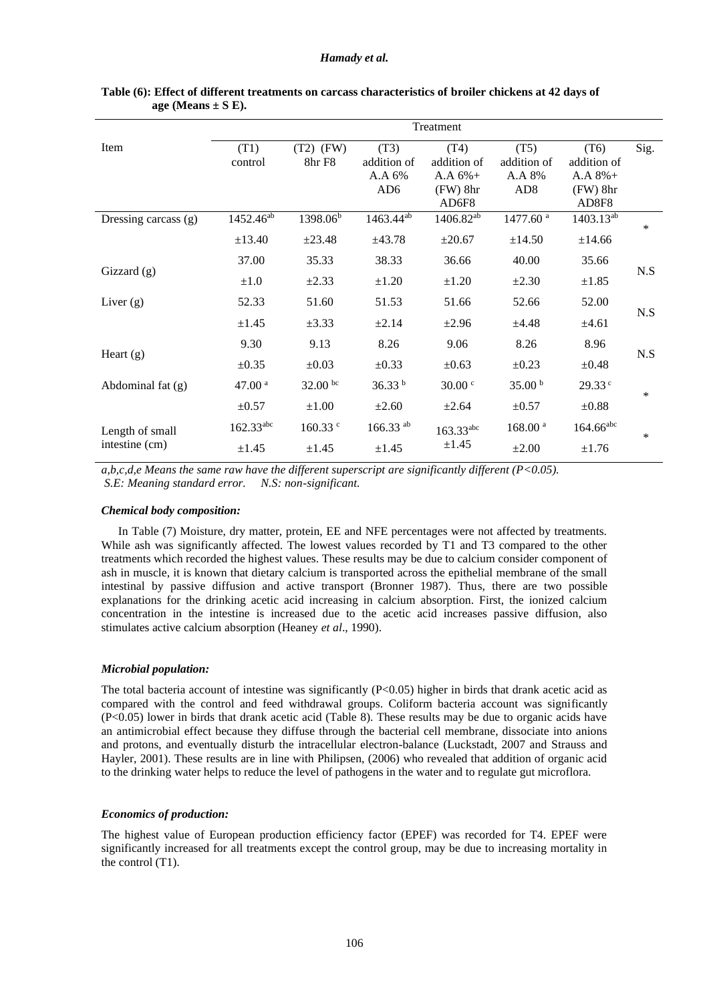### *Hamady et al.*

|                      | Treatment             |                       |                                                  |                                                         |                                                  |                                                         |        |  |  |
|----------------------|-----------------------|-----------------------|--------------------------------------------------|---------------------------------------------------------|--------------------------------------------------|---------------------------------------------------------|--------|--|--|
| Item                 | (T1)<br>control       | $(T2)$ (FW)<br>8hr F8 | (T3)<br>addition of<br>A.A 6%<br>AD <sub>6</sub> | (T4)<br>addition of<br>$A.A.6%+$<br>$(FW)$ 8hr<br>AD6F8 | (T5)<br>addition of<br>A.A 8%<br>AD <sub>8</sub> | (T6)<br>addition of<br>$A.A.8%+$<br>$(FW)$ 8hr<br>AD8F8 | Sig.   |  |  |
| Dressing carcass (g) | 1452.46 <sup>ab</sup> | 1398.06 <sup>b</sup>  | 1463.44 <sup>ab</sup>                            | 1406.82 <sup>ab</sup>                                   | 1477.60 <sup>a</sup>                             | 1403.13 <sup>ab</sup>                                   | $\ast$ |  |  |
|                      | ±13.40                | ±23.48                | ±43.78                                           | $\pm 20.67$                                             | ±14.50                                           | ±14.66                                                  |        |  |  |
|                      | 37.00                 | 35.33                 | 38.33                                            | 36.66                                                   | 40.00                                            | 35.66                                                   | N.S    |  |  |
| Gizzard $(g)$        | $\pm 1.0$             | $\pm 2.33$            | $\pm 1.20$                                       | $\pm 1.20$                                              | $\pm 2.30$                                       | $\pm 1.85$                                              |        |  |  |
| Liver $(g)$          | 52.33                 | 51.60                 | 51.53                                            | 51.66                                                   | 52.66                                            | 52.00                                                   | N.S    |  |  |
|                      | $\pm 1.45$            | $\pm 3.33$            | $\pm 2.14$                                       | $\pm 2.96$                                              | ±4.48                                            | $\pm 4.61$                                              |        |  |  |
| Heart $(g)$          | 9.30                  | 9.13                  | 8.26                                             | 9.06                                                    | 8.26                                             | 8.96                                                    | N.S    |  |  |
|                      | $\pm 0.35$            | $\pm 0.03$            | $\pm 0.33$                                       | $\pm 0.63$                                              | $\pm 0.23$                                       | $\pm 0.48$                                              |        |  |  |
| Abdominal fat $(g)$  | 47.00 $a$             | $32.00 \text{ bc}$    | 36.33 <sup>b</sup>                               | $30.00$ $\circ$                                         | 35.00 $^{\rm b}$                                 | 29.33c                                                  | $\ast$ |  |  |
|                      | $\pm 0.57$            | $\pm 1.00$            | $\pm 2.60$                                       | $\pm 2.64$                                              | $\pm 0.57$                                       | $\pm 0.88$                                              |        |  |  |
| Length of small      | $162.33^{abc}$        | 160.33 c              | $166.33$ <sup>ab</sup>                           | $163.33^{abc}$                                          | 168.00 <sup>a</sup>                              | $164.66^{abc}$                                          | *      |  |  |
| intestine (cm)       | $\pm 1.45$            | $\pm 1.45$            | $\pm 1.45$                                       | $\pm 1.45$                                              | $\pm 2.00$                                       | $\pm 1.76$                                              |        |  |  |

### **Table (6): Effect of different treatments on carcass characteristics of broiler chickens at 42 days of**  age (Means  $\pm$  S E).

*a,b,c,d,e Means the same raw have the different superscript are significantly different (P<0.05). S.E: Meaning standard error. N.S: non-significant.*

## *Chemical body composition:*

In Table (7) Moisture, dry matter, protein, EE and NFE percentages were not affected by treatments. While ash was significantly affected. The lowest values recorded by T1 and T3 compared to the other treatments which recorded the highest values. These results may be due to calcium consider component of ash in muscle, it is known that dietary calcium is transported across the epithelial membrane of the small intestinal by passive diffusion and active transport (Bronner 1987). Thus, there are two possible explanations for the drinking acetic acid increasing in calcium absorption. First, the ionized calcium concentration in the intestine is increased due to the acetic acid increases passive diffusion, also stimulates active calcium absorption (Heaney *et al*., 1990).

## *Microbial population:*

The total bacteria account of intestine was significantly  $(P<0.05)$  higher in birds that drank acetic acid as compared with the control and feed withdrawal groups. Coliform bacteria account was significantly (P<0.05) lower in birds that drank acetic acid (Table 8). These results may be due to organic acids have an antimicrobial effect because they diffuse through the bacterial cell membrane, dissociate into anions and protons, and eventually disturb the intracellular electron-balance (Luckstadt, 2007 and Strauss and Hayler, 2001). These results are in line with Philipsen, (2006) who revealed that addition of organic acid to the drinking water helps to reduce the level of pathogens in the water and to regulate gut microflora.

### *Economics of production:*

The highest value of European production efficiency factor (EPEF) was recorded for T4. EPEF were significantly increased for all treatments except the control group, may be due to increasing mortality in the control (T1).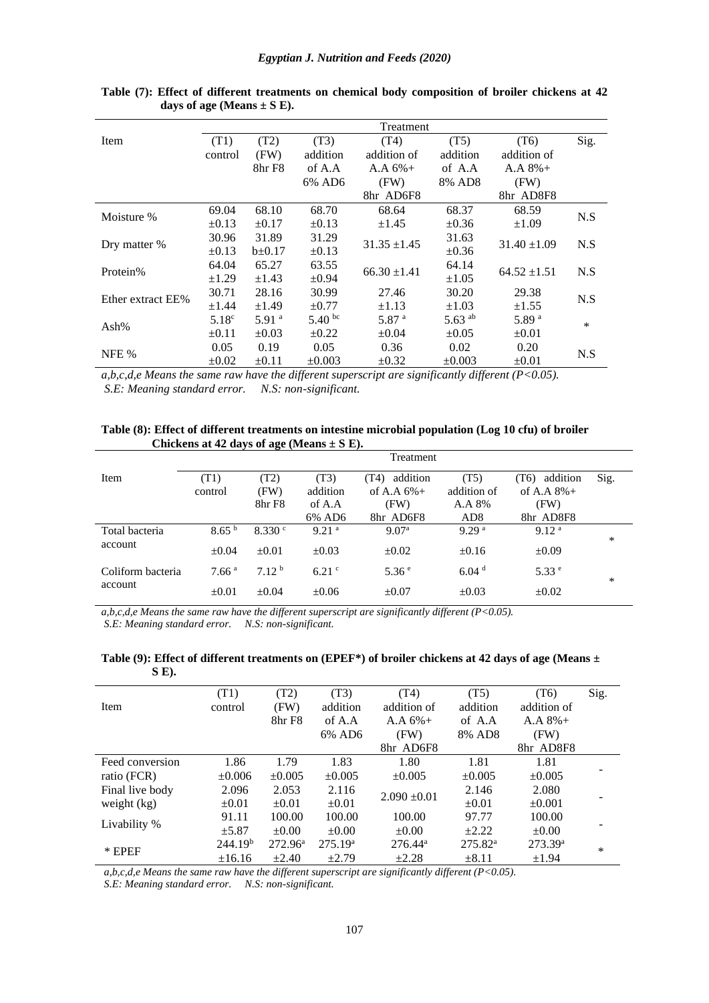|                   | Treatment         |                   |             |                   |              |                   |        |  |
|-------------------|-------------------|-------------------|-------------|-------------------|--------------|-------------------|--------|--|
| Item              | (T1)              | (T2)              | (T3)        | (T4)              | (T5)         | (T6)              | Sig.   |  |
|                   | control           | (FW)              | addition    | addition of       | addition     | addition of       |        |  |
|                   |                   | 8hr F8            | of A.A      | $A.A.6%+$         | of A.A       | $A.A.8%+$         |        |  |
|                   |                   |                   | 6% AD6      | (FW)              | 8% AD8       | (FW)              |        |  |
|                   |                   |                   |             | 8hr AD6F8         |              | 8hr AD8F8         |        |  |
| Moisture %        | 69.04             | 68.10             | 68.70       | 68.64             | 68.37        | 68.59             | N.S    |  |
|                   | $\pm 0.13$        | $\pm 0.17$        | $\pm 0.13$  | $\pm 1.45$        | $\pm 0.36$   | $\pm 1.09$        |        |  |
| Dry matter %      | 30.96             | 31.89             | 31.29       | $31.35 \pm 1.45$  | 31.63        | $31.40 \pm 1.09$  | N.S    |  |
|                   | $\pm 0.13$        | $b\pm 0.17$       | $\pm 0.13$  |                   | $\pm 0.36$   |                   |        |  |
| Protein%          | 64.04             | 65.27             | 63.55       | $66.30 \pm 1.41$  | 64.14        | $64.52 \pm 1.51$  | N.S    |  |
|                   | $\pm 1.29$        | $\pm 1.43$        | $\pm 0.94$  |                   | $\pm 1.05$   |                   |        |  |
| Ether extract EE% | 30.71             | 28.16             | 30.99       | 27.46             | 30.20        | 29.38             | N.S    |  |
|                   | $\pm 1.44$        | $\pm 1.49$        | $\pm 0.77$  | $\pm 1.13$        | $\pm 1.03$   | $\pm 1.55$        |        |  |
| Ash $%$           | 5.18 <sup>c</sup> | 5.91 <sup>a</sup> | 5.40 bc     | 5.87 <sup>a</sup> | 5.63 $^{ab}$ | 5.89 <sup>a</sup> | $\ast$ |  |
|                   | $\pm 0.11$        | $\pm 0.03$        | $\pm 0.22$  | $\pm 0.04$        | $\pm 0.05$   | $\pm 0.01$        |        |  |
| NFE %             | 0.05              | 0.19              | 0.05        | 0.36              | 0.02         | 0.20              |        |  |
|                   | $\pm 0.02$        | $\pm 0.11$        | $\pm 0.003$ | $\pm 0.32$        | $\pm 0.003$  | $\pm 0.01$        | N.S    |  |

**Table (7): Effect of different treatments on chemical body composition of broiler chickens at 42 days of age (Means ± S E).**

*a,b,c,d,e Means the same raw have the different superscript are significantly different (P<0.05). S.E: Meaning standard error. N.S: non-significant.*

**Table (8): Effect of different treatments on intestine microbial population (Log 10 cfu) of broiler Chickens at 42 days of age (Means ± S E).**

|                           |                   |                   |                   | Treatment         |                   |                   |        |
|---------------------------|-------------------|-------------------|-------------------|-------------------|-------------------|-------------------|--------|
| Item                      | (T1)              | (T2)              | (T3)              | addition<br>(T4)  | (T5)              | addition<br>(T6)  | Sig.   |
|                           | control           | (FW)              | addition          | of A.A $6\%$ +    | addition of       | of A.A $8\%$ +    |        |
|                           |                   | 8hr F8            | of A.A            | (FW)              | A.A 8%            | (FW)              |        |
|                           |                   |                   | 6% AD6            | 8hr AD6F8         | AD <sub>8</sub>   | 8hr AD8F8         |        |
| Total bacteria<br>account | 8.65 <sup>b</sup> | 8.330 $^{\circ}$  | 9.21 <sup>a</sup> | 9.07 <sup>a</sup> | 9.29 <sup>a</sup> | 9.12 <sup>a</sup> | $\ast$ |
|                           | $\pm 0.04$        | $\pm 0.01$        | $\pm 0.03$        | $\pm 0.02$        | $\pm 0.16$        | $\pm 0.09$        |        |
| Coliform bacteria         | 7.66 <sup>a</sup> | 7.12 <sup>b</sup> | $6.21$ c          | 5.36 <sup>e</sup> | 6.04 <sup>d</sup> | 5.33 <sup>e</sup> | $\ast$ |
| account                   | $\pm 0.01$        | $\pm 0.04$        | $\pm 0.06$        | $\pm 0.07$        | $\pm 0.03$        | $\pm 0.02$        |        |

*a,b,c,d,e Means the same raw have the different superscript are significantly different (P<0.05). S.E: Meaning standard error. N.S: non-significant.*

**Table (9): Effect of different treatments on (EPEF\*) of broiler chickens at 42 days of age (Means ± S E).**

|                 | (T1)                | (T2)             | (T3)                | (T4)             | (T5)             | (T6)                | Sig. |
|-----------------|---------------------|------------------|---------------------|------------------|------------------|---------------------|------|
| Item            | control             | (FW)             | addition            | addition of      | addition         | addition of         |      |
|                 |                     | 8hr F8           | of A.A              | $A.A.6\%+$       | of A.A           | $A.A.8\%+$          |      |
|                 |                     |                  | 6% AD6              | (FW)             | 8% AD8           | (FW)                |      |
|                 |                     |                  |                     | 8hr AD6F8        |                  | 8hr AD8F8           |      |
| Feed conversion | 1.86                | 1.79             | 1.83                | 1.80             | 1.81             | 1.81                |      |
| ratio (FCR)     | $\pm 0.006$         | $\pm 0.005$      | $\pm 0.005$         | $\pm 0.005$      | $\pm 0.005$      | $\pm 0.005$         |      |
| Final live body | 2.096               | 2.053            | 2.116               |                  | 2.146            | 2.080               |      |
| weight $(kg)$   | $\pm 0.01$          | $\pm 0.01$       | $\pm 0.01$          | $2.090 \pm 0.01$ | $\pm 0.01$       | $\pm 0.001$         |      |
|                 | 91.11               | 100.00           | 100.00              | 100.00           | 97.77            | 100.00              |      |
| Livability %    | ±5.87               | $\pm 0.00$       | $\pm 0.00$          | $\pm 0.00$       | $+2.22$          | $\pm 0.00$          |      |
| $*$ EPEF        | 244.19 <sup>b</sup> | $272.96^{\circ}$ | 275.19 <sup>a</sup> | $276.44^{\circ}$ | $275.82^{\rm a}$ | 273.39 <sup>a</sup> | ∗    |
|                 | ±16.16              | $+2.40$          | $\pm 2.79$          | $\pm 2.28$       | $\pm 8.11$       | $\pm 1.94$          |      |

*a,b,c,d,e Means the same raw have the different superscript are significantly different (P<0.05).* 

*S.E: Meaning standard error. N.S: non-significant.*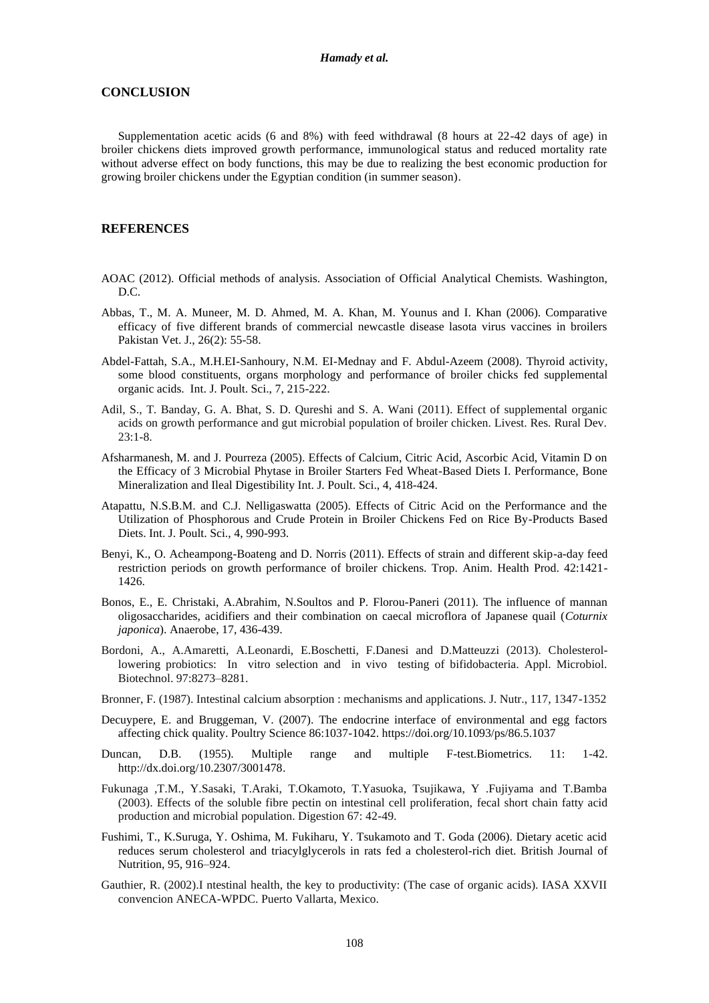## **CONCLUSION**

Supplementation acetic acids (6 and 8%) with feed withdrawal (8 hours at 22-42 days of age) in broiler chickens diets improved growth performance, immunological status and reduced mortality rate without adverse effect on body functions, this may be due to realizing the best economic production for growing broiler chickens under the Egyptian condition (in summer season).

## **REFERENCES**

- AOAC (2012). Official methods of analysis. Association of Official Analytical Chemists. Washington, D.C.
- Abbas, T., M. A. Muneer, M. D. Ahmed, M. A. Khan, M. Younus and I. Khan (2006). Comparative efficacy of five different brands of commercial newcastle disease lasota virus vaccines in broilers Pakistan Vet. J., 26(2): 55-58.
- Abdel-Fattah, S.A., M.H.EI-Sanhoury, N.M. EI-Mednay and F. Abdul-Azeem (2008). [Thyroid](https://www.researchgate.net/profile/Fathy_Abdelazeem/publication/312893753_Thyroid_active/links/5888ed8aa6fdcc9a35c14293/Thyroid-active.pdf) [activity,](https://www.researchgate.net/profile/Fathy_Abdelazeem/publication/312893753_Thyroid_active/links/5888ed8aa6fdcc9a35c14293/Thyroid-active.pdf)  [some](https://www.researchgate.net/profile/Fathy_Abdelazeem/publication/312893753_Thyroid_active/links/5888ed8aa6fdcc9a35c14293/Thyroid-active.pdf) [blood](https://www.researchgate.net/profile/Fathy_Abdelazeem/publication/312893753_Thyroid_active/links/5888ed8aa6fdcc9a35c14293/Thyroid-active.pdf) [constituents, organs](https://www.researchgate.net/profile/Fathy_Abdelazeem/publication/312893753_Thyroid_active/links/5888ed8aa6fdcc9a35c14293/Thyroid-active.pdf) [morphology](https://www.researchgate.net/profile/Fathy_Abdelazeem/publication/312893753_Thyroid_active/links/5888ed8aa6fdcc9a35c14293/Thyroid-active.pdf) [and](https://www.researchgate.net/profile/Fathy_Abdelazeem/publication/312893753_Thyroid_active/links/5888ed8aa6fdcc9a35c14293/Thyroid-active.pdf) [performance](https://www.researchgate.net/profile/Fathy_Abdelazeem/publication/312893753_Thyroid_active/links/5888ed8aa6fdcc9a35c14293/Thyroid-active.pdf) [of](https://www.researchgate.net/profile/Fathy_Abdelazeem/publication/312893753_Thyroid_active/links/5888ed8aa6fdcc9a35c14293/Thyroid-active.pdf) [broiler](https://www.researchgate.net/profile/Fathy_Abdelazeem/publication/312893753_Thyroid_active/links/5888ed8aa6fdcc9a35c14293/Thyroid-active.pdf) [chicks](https://www.researchgate.net/profile/Fathy_Abdelazeem/publication/312893753_Thyroid_active/links/5888ed8aa6fdcc9a35c14293/Thyroid-active.pdf) [fed](https://www.researchgate.net/profile/Fathy_Abdelazeem/publication/312893753_Thyroid_active/links/5888ed8aa6fdcc9a35c14293/Thyroid-active.pdf) [supplemental](https://www.researchgate.net/profile/Fathy_Abdelazeem/publication/312893753_Thyroid_active/links/5888ed8aa6fdcc9a35c14293/Thyroid-active.pdf) [organic](https://www.researchgate.net/profile/Fathy_Abdelazeem/publication/312893753_Thyroid_active/links/5888ed8aa6fdcc9a35c14293/Thyroid-active.pdf) [acids.](https://www.researchgate.net/profile/Fathy_Abdelazeem/publication/312893753_Thyroid_active/links/5888ed8aa6fdcc9a35c14293/Thyroid-active.pdf) Int. J. Poult. Sci., 7, 215-222.
- Adil, S., T. Banday, G. A. Bhat, S. D. Qureshi and S. A. Wani (2011). Effect of supplemental organic acids on growth performance and gut microbial population of broiler chicken. Livest. Res. Rural Dev. 23:1-8.
- Afsharmanesh, M. and J. Pourreza (2005). Effects of Calcium, Citric Acid, Ascorbic Acid, Vitamin D on the Efficacy of 3 Microbial Phytase in Broiler Starters Fed Wheat-Based Diets I. Performance, Bone Mineralization and Ileal Digestibility Int. J. Poult. Sci., 4, 418-424.
- Atapattu, N.S.B.M. and C.J. Nelligaswatta (2005). Effects of Citric Acid on the Performance and the Utilization of Phosphorous and Crude Protein in Broiler Chickens Fed on Rice By-Products Based Diets. Int. J. Poult. Sci., 4, 990-993.
- Benyi, K., O. Acheampong-Boateng and D. Norris (2011). Effects of strain and different skip-a-day feed restriction periods on growth performance of broiler chickens. Trop. Anim. Health Prod. 42:1421- 1426.
- Bonos, E., E. Christaki, A.Abrahim, N.Soultos and P. Florou-Paneri (2011). The influence of mannan oligosaccharides, acidifiers and their combination on caecal microflora of Japanese quail (*Coturnix japonica*). Anaerobe, 17, 436-439.
- Bordoni, A., A.Amaretti, A.Leonardi, E.Boschetti, F.Danesi and D.Matteuzzi (2013). Cholesterollowering probiotics: In vitro selection and in vivo testing of bifidobacteria. Appl. Microbiol. Biotechnol. 97:8273–8281.
- Bronner, F. (1987). Intestinal calcium absorption : mechanisms and applications. J. Nutr., 117, 1347-1352
- Decuypere, E. and Bruggeman, V. (2007). The endocrine interface of environmental and egg factors affecting chick quality. Poultry Science 86:1037-1042. https://doi.org/10.1093/ps/86.5.1037
- Duncan, D.B. (1955). Multiple range and multiple F-test.Biometrics. 11: 1-42. [http://dx.doi.org/10.2307/3001478.](http://dx.doi.org/10.2307/3001478)
- Fukunaga ,T.M., Y.Sasaki, T.Araki, T.Okamoto, T.Yasuoka, Tsujikawa, Y .Fujiyama and T.Bamba (2003). Effects of the soluble fibre pectin on intestinal cell proliferation, fecal short chain fatty acid production and microbial population. Digestion 67: 42-49.
- Fushimi, T., K.Suruga, Y. Oshima, M. Fukiharu, Y. Tsukamoto and T. Goda (2006). Dietary acetic acid reduces serum cholesterol and triacylglycerols in rats fed a cholesterol-rich diet. British Journal of Nutrition, 95, 916–924.
- Gauthier, R. (2002).I ntestinal health, the key to productivity: (The case of organic acids). IASA XXVII convencion ANECA-WPDC. Puerto Vallarta, Mexico.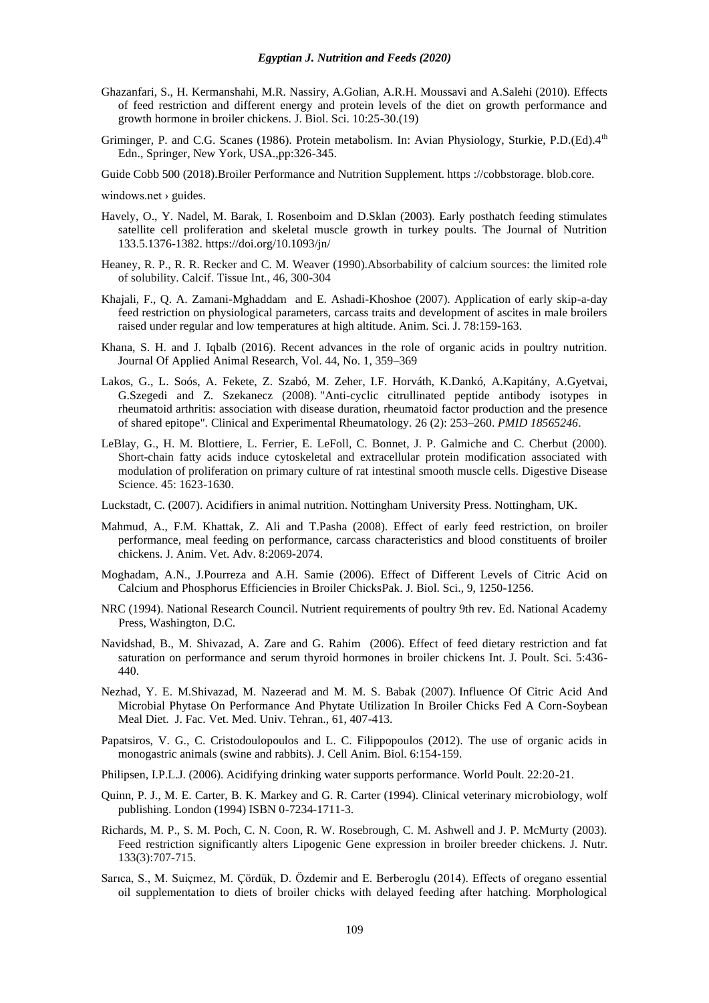- Ghazanfari, S., H. Kermanshahi, M.R. Nassiry, A.Golian, A.R.H. Moussavi and A.Salehi (2010). Effects of feed restriction and different energy and protein levels of the diet on growth performance and growth hormone in broiler chickens. J. Biol. Sci. 10:25-30.(19)
- Griminger, P. and C.G. Scanes (1986). Protein metabolism. In: Avian Physiology, Sturkie, P.D.(Ed).4<sup>th</sup> Edn., Springer, New York, USA.,pp:326-345.
- Guide Cobb 500 (2018).Broiler Performance and Nutrition Supplement. https ://cobbstorage. blob.core.

windows.net  $\rightarrow$  guides.

- Havely, O., Y. Nadel, M. Barak, I. Rosenboim and D.Sklan (2003). Early posthatch feeding stimulates satellite cell proliferation and skeletal muscle growth in turkey poults. The Journal of Nutrition 133.5.1376-1382[. https://doi.org/10.1093/jn/](https://doi.org/10.1093/jn/133.5.1376)
- Heaney, R. P., R. R. Recker and C. M. Weaver (1990).Absorbability of calcium sources: the limited role of solubility. Calcif. Tissue Int., 46, 300-304
- Khajali, F., Q. A. Zamani-Mghaddam and E. Ashadi-Khoshoe (2007). Application of early skip-a-day feed restriction on physiological parameters, carcass traits and development of ascites in male broilers raised under regular and low temperatures at high altitude. Anim. Sci. J. 78:159-163.
- Khana, S. H. and J. Iqbalb (2016). Recent advances in the role of organic acids in poultry nutrition. Journal Of Applied Animal Research, Vol. 44, No. 1, 359–369
- Lakos, G., L. Soós, A. Fekete, Z. Szabó, M. Zeher, I.F. Horváth, K.Dankó, A.Kapitány, A.Gyetvai, G.Szegedi and Z. Szekanecz (2008). ["Anti-cyclic citrullinated peptide antibody isotypes in](http://www.clinexprheumatol.org/pubmed/find-pii.asp?pii=18565246)  [rheumatoid arthritis: association with disease duration, rheumatoid factor production and the presence](http://www.clinexprheumatol.org/pubmed/find-pii.asp?pii=18565246)  [of shared epitope"](http://www.clinexprheumatol.org/pubmed/find-pii.asp?pii=18565246)*.* Clinical and Experimental Rheumatology. 26 (2): 253–260. *[PMID](https://en.wikipedia.org/wiki/PubMed_Identifier) [18565246](https://www.ncbi.nlm.nih.gov/pubmed/18565246)*.
- LeBlay, G., H. M. Blottiere, L. Ferrier, E. LeFoll, C. Bonnet, J. P. Galmiche and C. Cherbut (2000). Short-chain fatty acids induce cytoskeletal and extracellular protein modification associated with modulation of proliferation on primary culture of rat intestinal smooth muscle cells. Digestive Disease Science. 45: 1623-1630.
- Luckstadt, C. (2007). Acidifiers in animal nutrition. Nottingham University Press. Nottingham, UK.
- Mahmud, A., F.M. Khattak, Z. Ali and T.Pasha (2008). Effect of early feed restriction, on broiler performance, meal feeding on performance, carcass characteristics and blood constituents of broiler chickens. J. Anim. Vet. Adv. 8:2069-2074.
- Moghadam, A.N., J.Pourreza and A.H. Samie (2006). Effect of Different Levels of Citric Acid on Calcium and Phosphorus Efficiencies in Broiler ChicksPak. J. Biol. Sci., 9, 1250-1256.
- NRC (1994). National Research Council. Nutrient requirements of poultry 9th rev. Ed. National Academy Press, Washington, D.C.
- Navidshad, B., M. Shivazad, A. Zare and G. Rahim (2006). Effect of feed dietary restriction and fat saturation on performance and serum thyroid hormones in broiler chickens Int. J. Poult. Sci. 5:436- 440.
- Nezhad, Y. E. M.Shivazad, M. Nazeerad and M. M. S. Babak (2007). Influence Of Citric Acid And Microbial Phytase On Performance And Phytate Utilization In Broiler Chicks Fed A Corn-Soybean Meal Diet. J. Fac. Vet. Med. Univ. Tehran., 61, 407-413.
- Papatsiros, V. G., C. Cristodoulopoulos and L. C. Filippopoulos (2012). The use of organic acids in monogastric animals (swine and rabbits). J. Cell Anim. Biol. 6:154-159.
- Philipsen, I.P.L.J. (2006). Acidifying drinking water supports performance. World Poult. 22:20-21.
- Quinn, P. J., M. E. Carter, B. K. Markey and G. R. Carter (1994). Clinical veterinary microbiology, wolf publishing. London (1994) ISBN 0-7234-1711-3.
- Richards, M. P., S. M. Poch, C. N. Coon, R. W. Rosebrough, C. M. Ashwell and J. P. McMurty (2003). Feed restriction significantly alters Lipogenic Gene expression in broiler breeder chickens. J. Nutr. 133(3):707-715.
- Sarıca, S., M. Suiçmez, M. Çördük, D. Özdemir and E. Berberoglu (2014). Effects of oregano essential oil supplementation to diets of broiler chicks with delayed feeding after hatching. Morphological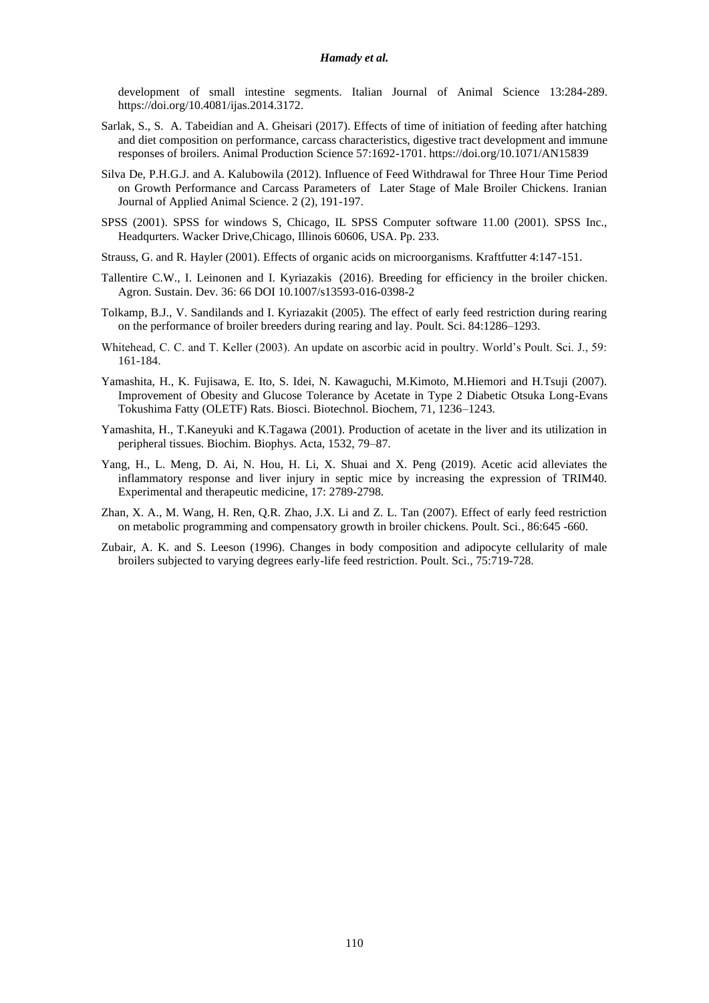### *Hamady et al.*

development of small intestine segments. Italian Journal of Animal Science 13:284-289. https://doi.org/10.4081/ijas.2014.3172.

- Sarlak, S., S. A. Tabeidian and A. Gheisari (2017). Effects of time of initiation of feeding after hatching and diet composition on performance, carcass characteristics, digestive tract development and immune responses of broilers. Animal Production Science 57:1692-1701[. https://doi.org/10.1071/AN15839](https://doi.org/10.1071/AN15839)
- Silva De, P.H.G.J. and A. Kalubowila (2012). Influence of Feed Withdrawal for Three Hour Time Period on Growth Performance and Carcass Parameters of Later Stage of Male Broiler Chickens. Iranian Journal of Applied Animal Science. 2 (2), 191-197.
- SPSS (2001). SPSS for windows S, Chicago, IL SPSS Computer software 11.00 (2001). SPSS Inc., Headqurters. Wacker Drive,Chicago, Illinois 60606, USA. Pp. 233.
- Strauss, G. and R. Hayler (2001). Effects of organic acids on microorganisms. Kraftfutter 4:147-151.
- Tallentire [C.W.,](https://scholar.google.com.eg/citations?user=VftYBBwAAAAJ&hl=ar&oi=sra) [I. Leinonen](https://scholar.google.com.eg/citations?user=-uZcdwwAAAAJ&hl=ar&oi=sra) and [I. Kyriazakis](https://scholar.google.com.eg/citations?user=yurudQwAAAAJ&hl=ar&oi=sra) (2016). Breeding for efficiency in the broiler chicken. Agron. Sustain. Dev. 36: 66 DOI 10.1007/s13593-016-0398-2
- Tolkamp, B.J., V. Sandilands and I. Kyriazakit (2005). The effect of early feed restriction during rearing on the performance of broiler breeders during rearing and lay. Poult. Sci. 84:1286–1293.
- Whitehead, C. C. and T. Keller (2003). An update on ascorbic acid in poultry. World's Poult. Sci. J., 59: 161-184.
- Yamashita, H., K. Fujisawa, E. Ito, S. Idei, N. Kawaguchi, M.Kimoto, M.Hiemori and H.Tsuji (2007). Improvement of Obesity and Glucose Tolerance by Acetate in Type 2 Diabetic Otsuka Long-Evans Tokushima Fatty (OLETF) Rats. Biosci. Biotechnol. Biochem, 71, 1236–1243.
- Yamashita, H., T.Kaneyuki and K.Tagawa (2001). Production of acetate in the liver and its utilization in peripheral tissues. Biochim. Biophys. Acta, 1532, 79–87.
- Yang, H., L. Meng, D. Ai, N. Hou, H. Li, X. Shuai and X. Peng (2019). Acetic acid alleviates the inflammatory response and liver injury in septic mice by increasing the expression of TRIM40. Experimental and therapeutic medicine, 17: 2789-2798.
- Zhan, X. A., M. Wang, H. Ren, Q.R. Zhao, J.X. Li and Z. L. Tan (2007). Effect of early feed restriction on metabolic programming and compensatory growth in broiler chickens. Poult. Sci., 86:645 -660.
- Zubair, A. K. and S. Leeson (1996). Changes in body composition and adipocyte cellularity of male broilers subjected to varying degrees early-life feed restriction. Poult. Sci., 75:719-728.